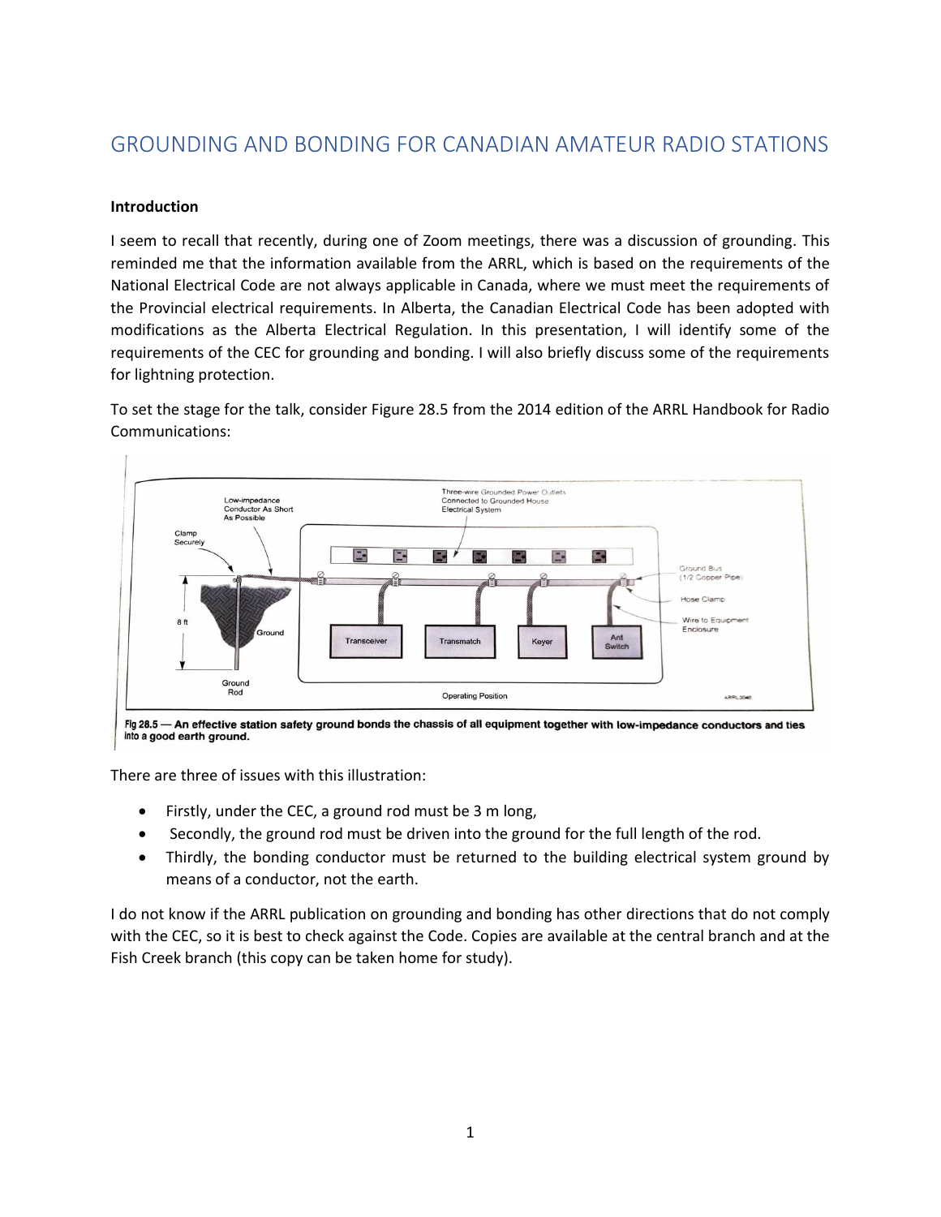# GROUNDING AND BONDING FOR CANADIAN AMATEUR RADIO STATIONS

## **Introduction**

I seem to recall that recently, during one of Zoom meetings, there was a discussion of grounding. This reminded me that the information available from the ARRL, which is based on the requirements of the National Electrical Code are not always applicable in Canada, where we must meet the requirements of the Provincial electrical requirements. In Alberta, the Canadian Electrical Code has been adopted with modifications as the Alberta Electrical Regulation. In this presentation, I will identify some of the requirements of the CEC for grounding and bonding. I will also briefly discuss some of the requirements for lightning protection.

To set the stage for the talk, consider Figure 28.5 from the 2014 edition of the ARRL Handbook for Radio Communications:



Fig 28.5 - An effective station safety ground bonds the chassis of all equipment together with low-impedance conductors and ties into a good earth ground.

There are three of issues with this illustration:

- Firstly, under the CEC, a ground rod must be 3 m long,
- Secondly, the ground rod must be driven into the ground for the full length of the rod.
- Thirdly, the bonding conductor must be returned to the building electrical system ground by means of a conductor, not the earth.

I do not know if the ARRL publication on grounding and bonding has other directions that do not comply with the CEC, so it is best to check against the Code. Copies are available at the central branch and at the Fish Creek branch (this copy can be taken home for study).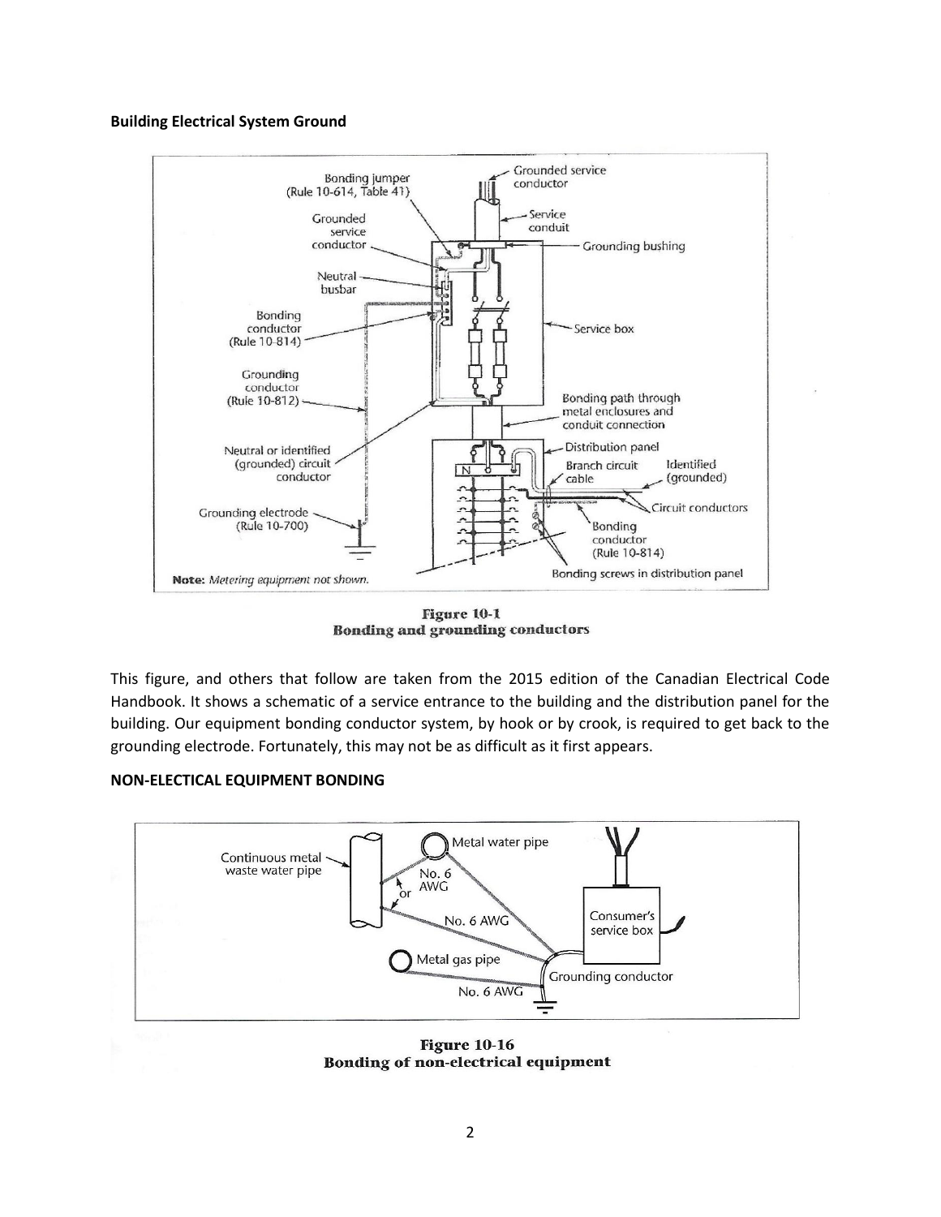#### **Building Electrical System Ground**



Figure 10-1 **Bonding and grounding conductors** 

This figure, and others that follow are taken from the 2015 edition of the Canadian Electrical Code Handbook. It shows a schematic of a service entrance to the building and the distribution panel for the building. Our equipment bonding conductor system, by hook or by crook, is required to get back to the grounding electrode. Fortunately, this may not be as difficult as it first appears.

### **NON-ELECTICAL EQUIPMENT BONDING**



**Figure 10-16** Bonding of non-electrical equipment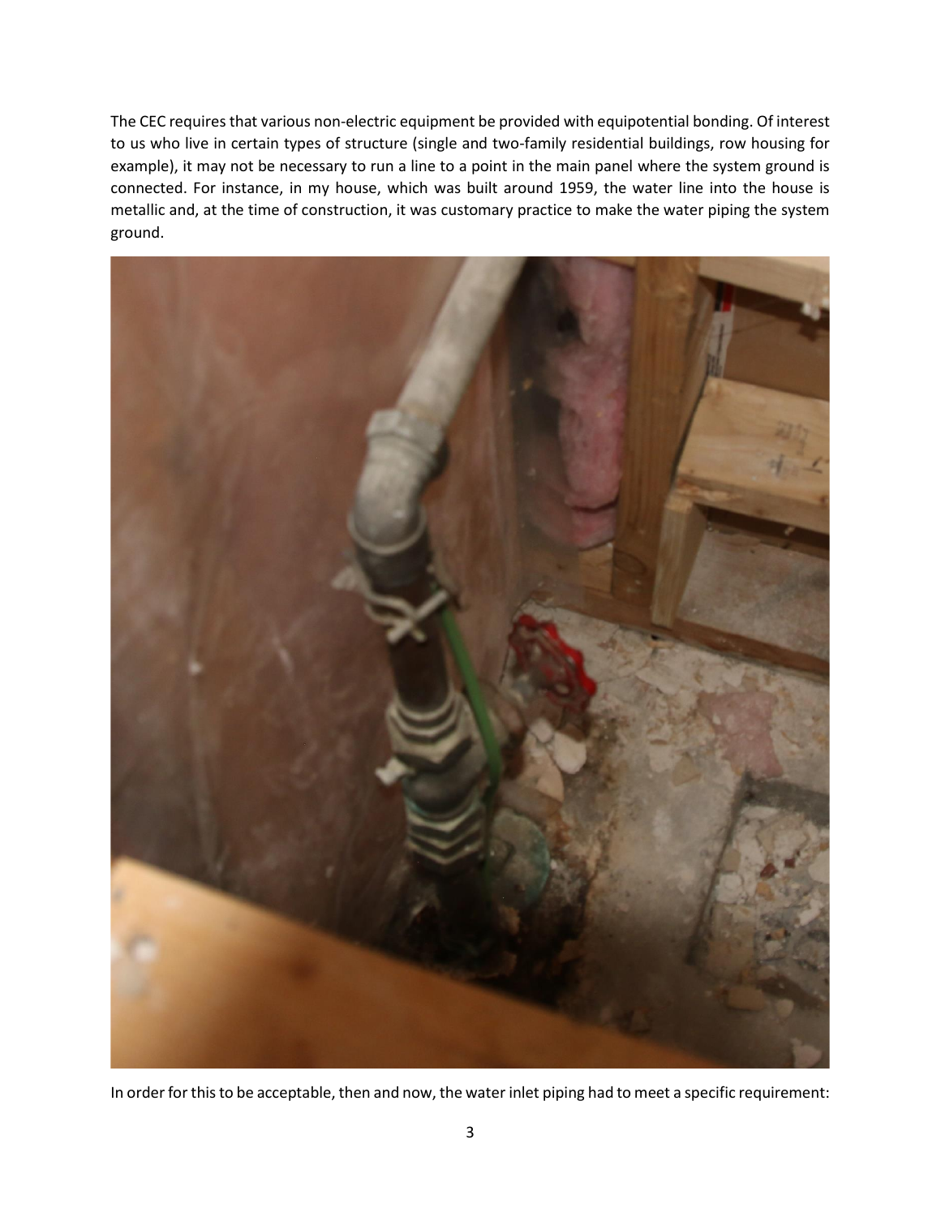The CEC requires that various non-electric equipment be provided with equipotential bonding. Of interest to us who live in certain types of structure (single and two-family residential buildings, row housing for example), it may not be necessary to run a line to a point in the main panel where the system ground is connected. For instance, in my house, which was built around 1959, the water line into the house is metallic and, at the time of construction, it was customary practice to make the water piping the system ground.



In order for this to be acceptable, then and now, the water inlet piping had to meet a specific requirement: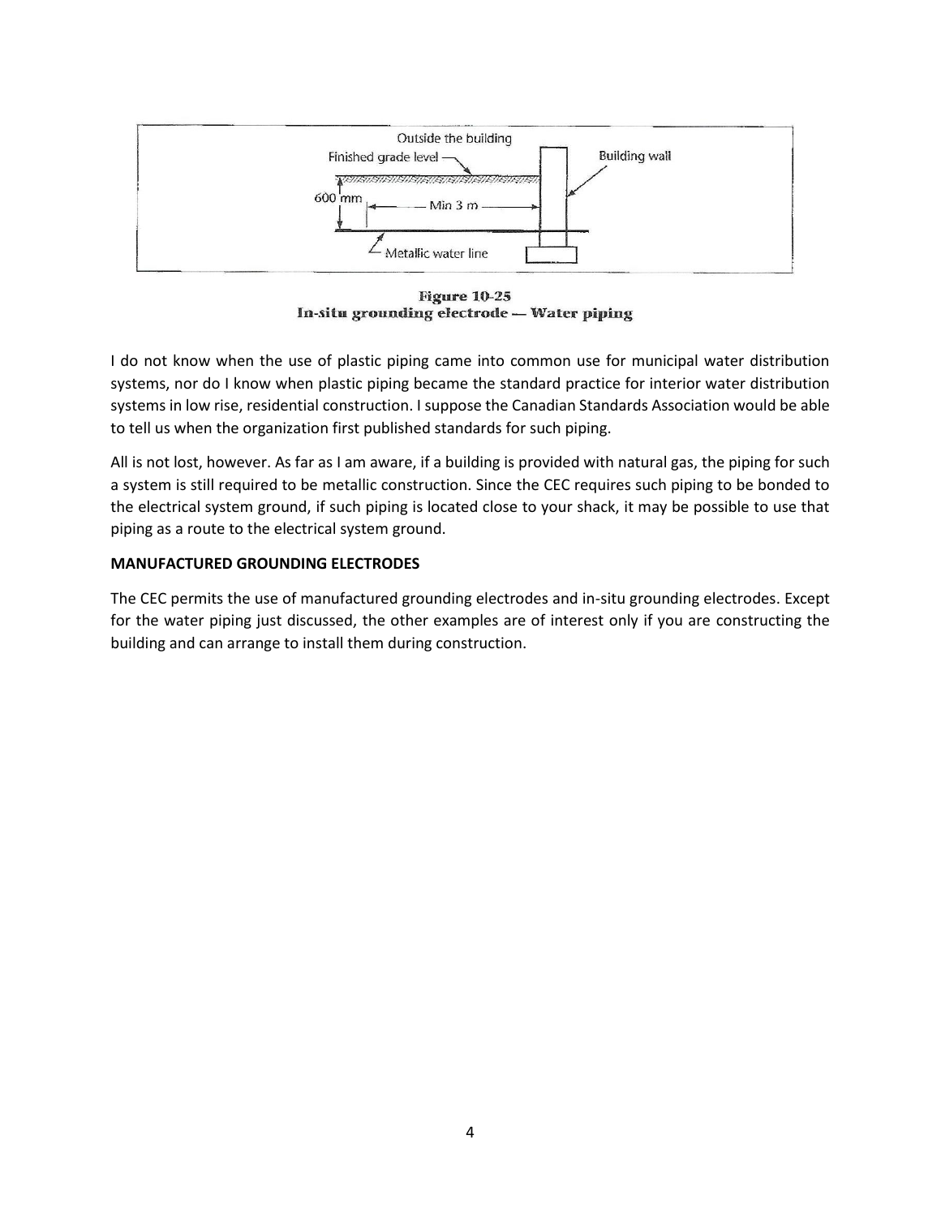

**Figure 10-25** In-situ grounding electrode - Water piping

I do not know when the use of plastic piping came into common use for municipal water distribution systems, nor do I know when plastic piping became the standard practice for interior water distribution systems in low rise, residential construction. I suppose the Canadian Standards Association would be able to tell us when the organization first published standards for such piping.

All is not lost, however. As far as I am aware, if a building is provided with natural gas, the piping for such a system is still required to be metallic construction. Since the CEC requires such piping to be bonded to the electrical system ground, if such piping is located close to your shack, it may be possible to use that piping as a route to the electrical system ground.

## **MANUFACTURED GROUNDING ELECTRODES**

The CEC permits the use of manufactured grounding electrodes and in-situ grounding electrodes. Except for the water piping just discussed, the other examples are of interest only if you are constructing the building and can arrange to install them during construction.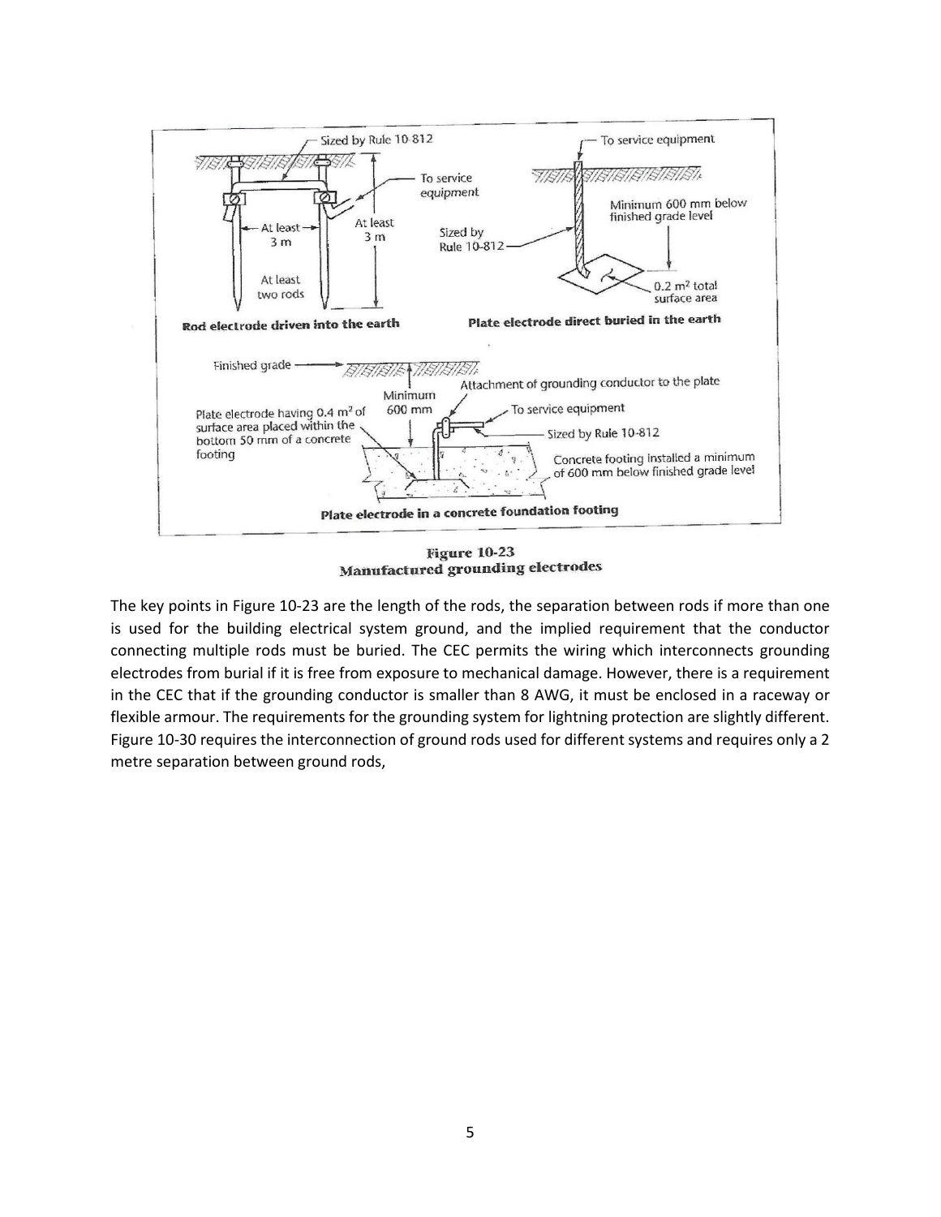

**Figure 10-23** Manufactured grounding electrodes

The key points in Figure 10-23 are the length of the rods, the separation between rods if more than one is used for the building electrical system ground, and the implied requirement that the conductor connecting multiple rods must be buried. The CEC permits the wiring which interconnects grounding electrodes from burial if it is free from exposure to mechanical damage. However, there is a requirement in the CEC that if the grounding conductor is smaller than 8 AWG, it must be enclosed in a raceway or flexible armour. The requirements for the grounding system for lightning protection are slightly different. Figure 10-30 requires the interconnection of ground rods used for different systems and requires only a 2 metre separation between ground rods,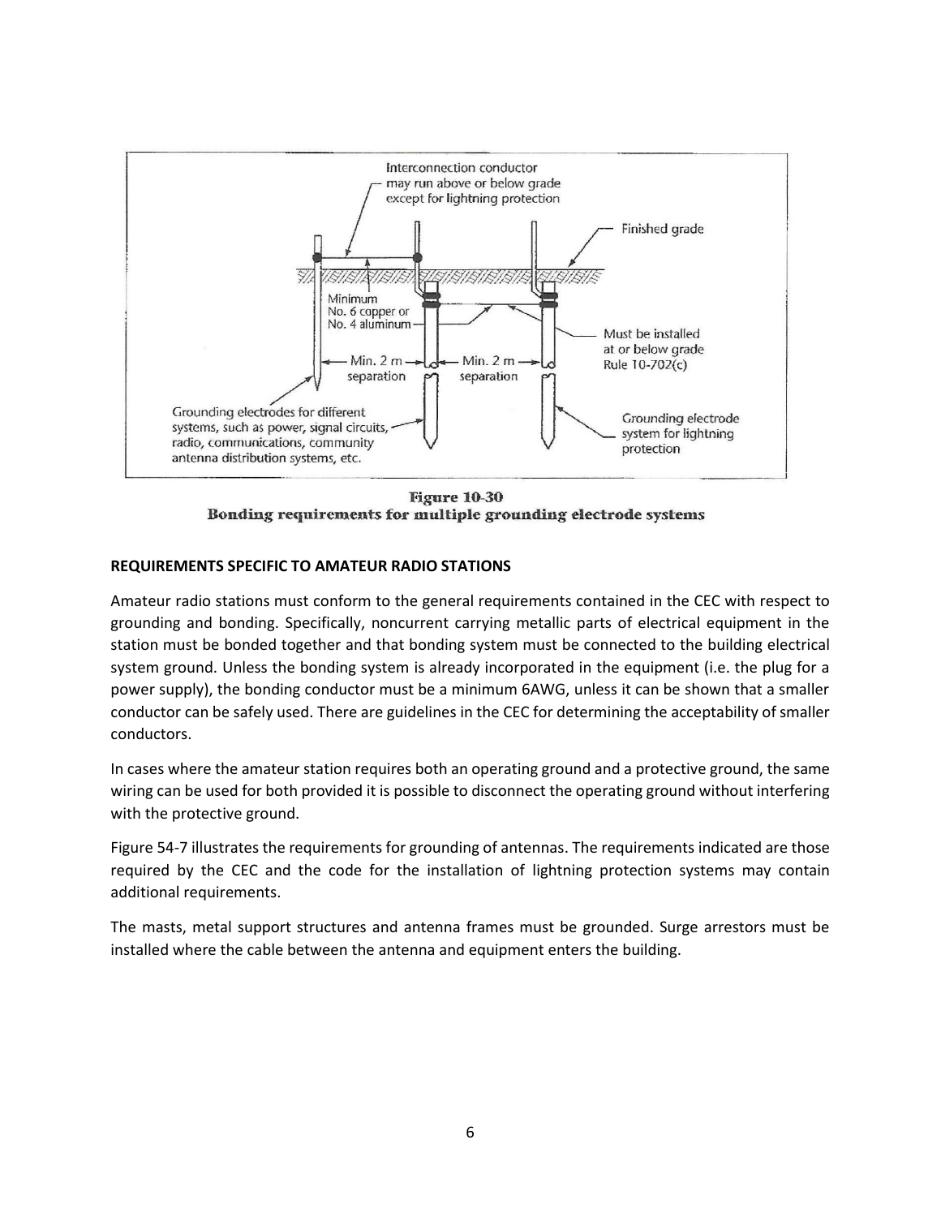

**Figure 10-30** Bonding requirements for multiple grounding electrode systems

## **REQUIREMENTS SPECIFIC TO AMATEUR RADIO STATIONS**

Amateur radio stations must conform to the general requirements contained in the CEC with respect to grounding and bonding. Specifically, noncurrent carrying metallic parts of electrical equipment in the station must be bonded together and that bonding system must be connected to the building electrical system ground. Unless the bonding system is already incorporated in the equipment (i.e. the plug for a power supply), the bonding conductor must be a minimum 6AWG, unless it can be shown that a smaller conductor can be safely used. There are guidelines in the CEC for determining the acceptability of smaller conductors.

In cases where the amateur station requires both an operating ground and a protective ground, the same wiring can be used for both provided it is possible to disconnect the operating ground without interfering with the protective ground.

Figure 54-7 illustrates the requirements for grounding of antennas. The requirements indicated are those required by the CEC and the code for the installation of lightning protection systems may contain additional requirements.

The masts, metal support structures and antenna frames must be grounded. Surge arrestors must be installed where the cable between the antenna and equipment enters the building.